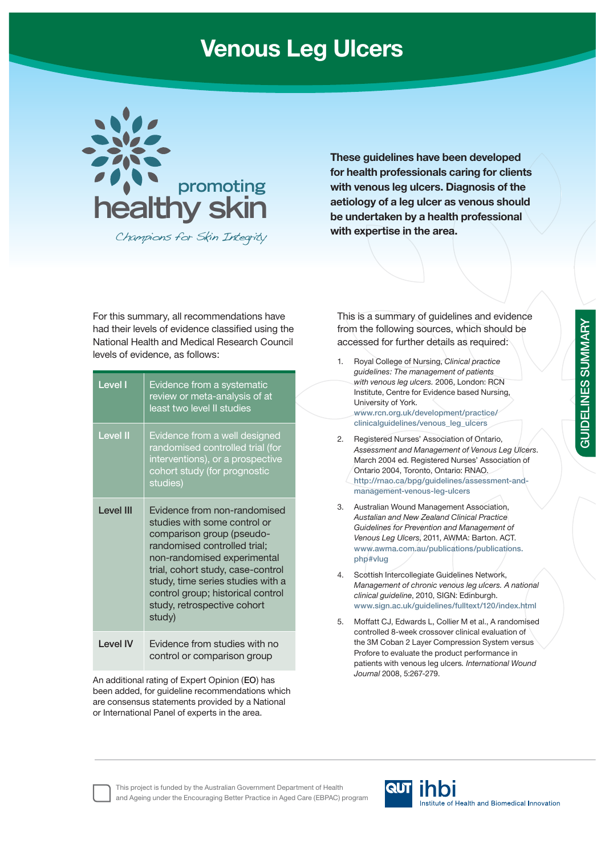# **Venous Leg Ulcers**



Champions for Skin Integrity

**These guidelines have been developed for health professionals caring for clients with venous leg ulcers. Diagnosis of the aetiology of a leg ulcer as venous should be undertaken by a health professional with expertise in the area.**

For this summary, all recommendations have had their levels of evidence classified using the National Health and Medical Research Council levels of evidence, as follows:

| Level I          | Evidence from a systematic<br>review or meta-analysis of at<br>least two level II studies                                                                                                                                                                                                                        |  |
|------------------|------------------------------------------------------------------------------------------------------------------------------------------------------------------------------------------------------------------------------------------------------------------------------------------------------------------|--|
| <b>Level II</b>  | Evidence from a well designed<br>randomised controlled trial (for<br>interventions), or a prospective<br>cohort study (for prognostic<br>studies)                                                                                                                                                                |  |
| <b>Level III</b> | Evidence from non-randomised<br>studies with some control or<br>comparison group (pseudo-<br>randomised controlled trial;<br>non-randomised experimental<br>trial, cohort study, case-control<br>study, time series studies with a<br>control group; historical control<br>study, retrospective cohort<br>study) |  |
| I evel IV        | Evidence from studies with no<br>control or comparison group                                                                                                                                                                                                                                                     |  |

An additional rating of Expert Opinion (**EO**) has been added, for guideline recommendations which are consensus statements provided by a National or International Panel of experts in the area.

This is a summary of guidelines and evidence from the following sources, which should be accessed for further details as required:

- 1. Royal College of Nursing, *Clinical practice guidelines: The management of patients with venous leg ulcers.* 2006, London: RCN Institute, Centre for Evidence based Nursing, University of York. **www.rcn.org.uk/development/practice/ clinicalguidelines/venous\_leg\_ulcers**
- 2. Registered Nurses' Association of Ontario, *Assessment and Management of Venous Leg Ulcers*. March 2004 ed. Registered Nurses' Association of Ontario 2004, Toronto, Ontario: RNAO. **http://rnao.ca/bpg/guidelines/assessment-andmanagement-venous-leg-ulcers**
- 3. Australian Wound Management Association, *Austalian and New Zealand Clinical Practice Guidelines for Prevention and Management of Venous Leg Ulcers*, 2011, AWMA: Barton. ACT. **www.awma.com.au/publications/publications. php#vlug**
- 4. Scottish Intercollegiate Guidelines Network, *Management of chronic venous leg ulcers. A national clinical guideline*, 2010, SIGN: Edinburgh. **www.sign.ac.uk/guidelines/fulltext/120/index.html**
- 5. Moffatt CJ, Edwards L, Collier M et al., A randomised controlled 8-week crossover clinical evaluation of the 3M Coban 2 Layer Compression System versus Profore to evaluate the product performance in patients with venous leg ulcers*. International Wound Journal* 2008, 5:267-279.

This project is funded by the Australian Government Department of Health and Ageing under the Encouraging Better Practice in Aged Care (EBPAC) program

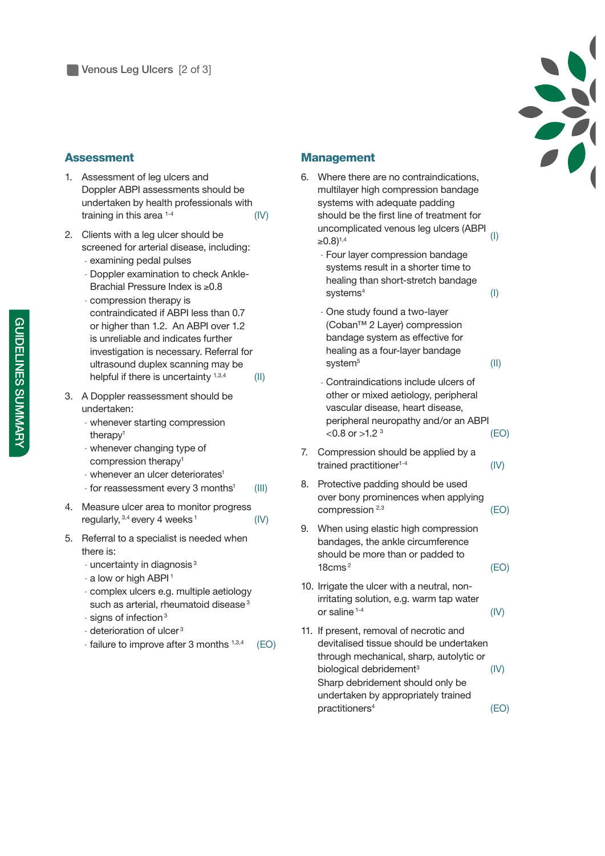

### **Assessment**

- 1. Assessment of leg ulcers and Doppler ABPI assessments should be undertaken by health professionals with training in this area  $1-4$  (IV)
- 2. Clients with a leg ulcer should be screened for arterial disease, including:
	- examining pedal pulses
	- Doppler examination to check Ankle-Brachial Pressure Index is ≥0.8
	- compression therapy is contraindicated if ABPI less than 0.7 or higher than 1.2. An ABPI over 1.2 is unreliable and indicates further investigation is necessary. Referral for ultrasound duplex scanning may be helpful if there is uncertainty  $1,3,4$  (II)
- 3. A Doppler reassessment should be undertaken:
	- whenever starting compression therapy<sup>1</sup>
	- whenever changing type of compression therapy1
	- whenever an ulcer deteriorates<sup>1</sup>
	- for reassessment every 3 months<sup>1</sup> (III)
- 4. Measure ulcer area to monitor progress regularly,  $3,4$  every 4 weeks  $1$  (IV)
- 5. Referral to a specialist is needed when there is:
	- $-$  uncertainty in diagnosis $3$
	- a low or high ABPI<sup>1</sup>
	- complex ulcers e.g. multiple aetiology such as arterial, rheumatoid disease<sup>3</sup>
	- signs of infection 3
	- deterioration of ulcer<sup>3</sup>
	- failure to improve after 3 months  $1,3,4$  (EO)

#### **Management**

- 6. Where there are no contraindications, multilayer high compression bandage systems with adequate padding should be the first line of treatment for uncomplicated venous leg ulcers (ABPI  $≥0.8$ <sup>1,4</sup> (I)
	- Four layer compression bandage systems result in a shorter time to healing than short-stretch bandage systems<sup>4</sup>

(I)

(II)

- One study found a two-layer (Coban™ 2 Layer) compression bandage system as effective for healing as a four-layer bandage system<sup>5</sup>
- Contraindications include ulcers of other or mixed aetiology, peripheral vascular disease, heart disease, peripheral neuropathy and/or an ABPI  $<$  0.8 or  $>$  1.2  $<sup>3</sup>$ </sup> (EO)
- 7. Compression should be applied by a trained practitioner<sup>1-4</sup>  $(IV)$
- 8. Protective padding should be used over bony prominences when applying  $compression<sup>2,3</sup>$  (EO)
- 9. When using elastic high compression bandages, the ankle circumference should be more than or padded to 18cms 2 (EO)
- 10. Irrigate the ulcer with a neutral, nonirritating solution, e.g. warm tap water or saline  $1-4$  (IV)
- 11. If present, removal of necrotic and devitalised tissue should be undertaken through mechanical, sharp, autolytic or biological debridement<sup>3</sup> (IV) Sharp debridement should only be undertaken by appropriately trained practitioners4 (EO)